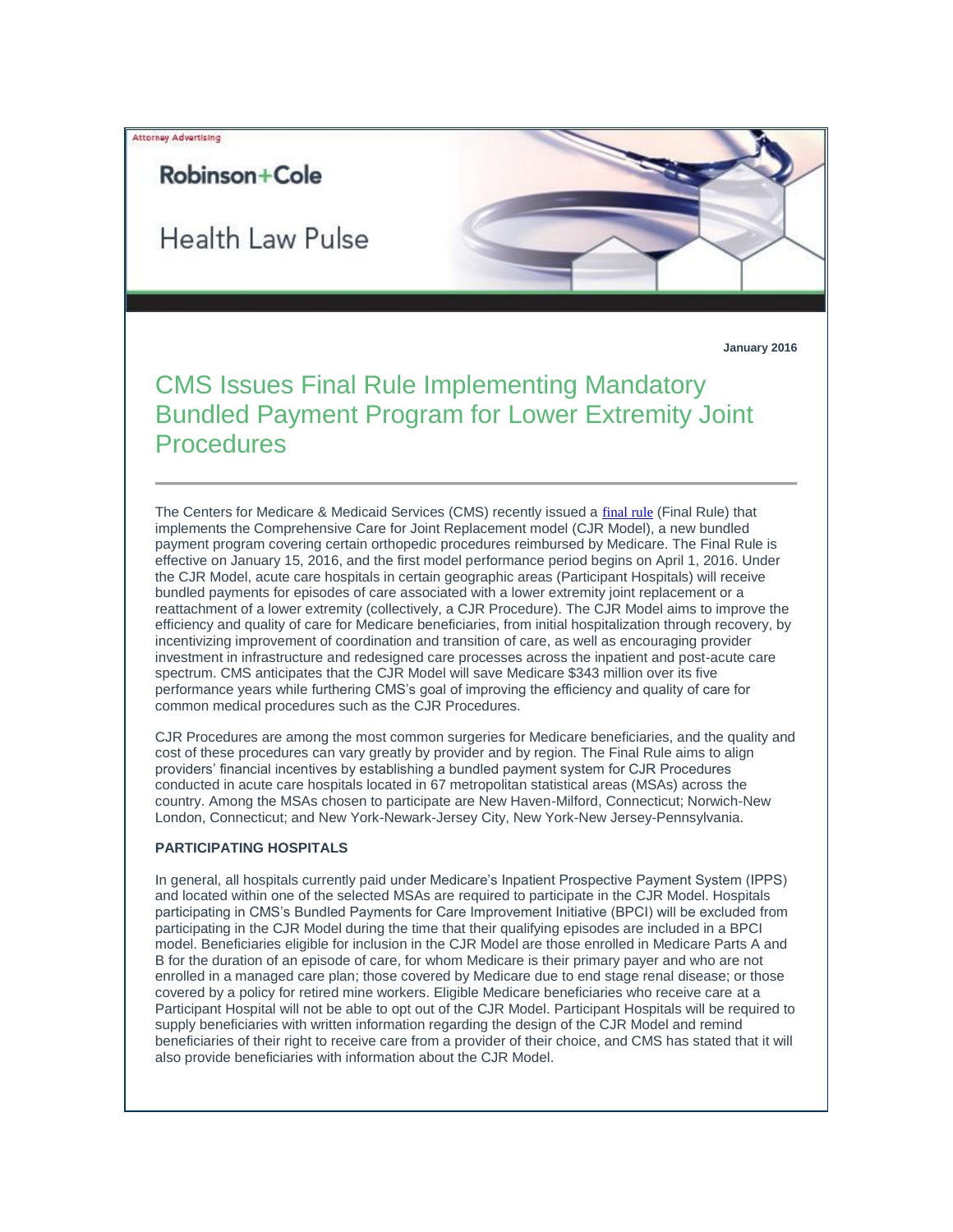### Attorney Advertising

## Robinson+Cole

**Health Law Pulse** 

**January 2016**

# CMS Issues Final Rule Implementing Mandatory Bundled Payment Program for Lower Extremity Joint **Procedures**

The Centers for Medicare & Medicaid Services (CMS) recently issued a [final rule](http://t2806904.omkt.co/track.aspx?id=402|2AD478|6F10|54A3|EDF|0|18F3|1|3EFF8A5B&destination=http%3a%2f%2fwww.gpo.gov%2ffdsys%2fpkg%2fFR-2015-11-24%2fpdf%2f2015-29438.pdf&dchk=252F2452) (Final Rule) that implements the Comprehensive Care for Joint Replacement model (CJR Model), a new bundled payment program covering certain orthopedic procedures reimbursed by Medicare. The Final Rule is effective on January 15, 2016, and the first model performance period begins on April 1, 2016. Under the CJR Model, acute care hospitals in certain geographic areas (Participant Hospitals) will receive bundled payments for episodes of care associated with a lower extremity joint replacement or a reattachment of a lower extremity (collectively, a CJR Procedure). The CJR Model aims to improve the efficiency and quality of care for Medicare beneficiaries, from initial hospitalization through recovery, by incentivizing improvement of coordination and transition of care, as well as encouraging provider investment in infrastructure and redesigned care processes across the inpatient and post-acute care spectrum. CMS anticipates that the CJR Model will save Medicare \$343 million over its five performance years while furthering CMS's goal of improving the efficiency and quality of care for common medical procedures such as the CJR Procedures.

CJR Procedures are among the most common surgeries for Medicare beneficiaries, and the quality and cost of these procedures can vary greatly by provider and by region. The Final Rule aims to align providers' financial incentives by establishing a bundled payment system for CJR Procedures conducted in acute care hospitals located in 67 metropolitan statistical areas (MSAs) across the country. Among the MSAs chosen to participate are New Haven-Milford, Connecticut; Norwich-New London, Connecticut; and New York-Newark-Jersey City, New York-New Jersey-Pennsylvania.

#### **PARTICIPATING HOSPITALS**

In general, all hospitals currently paid under Medicare's Inpatient Prospective Payment System (IPPS) and located within one of the selected MSAs are required to participate in the CJR Model. Hospitals participating in CMS's Bundled Payments for Care Improvement Initiative (BPCI) will be excluded from participating in the CJR Model during the time that their qualifying episodes are included in a BPCI model. Beneficiaries eligible for inclusion in the CJR Model are those enrolled in Medicare Parts A and B for the duration of an episode of care, for whom Medicare is their primary payer and who are not enrolled in a managed care plan; those covered by Medicare due to end stage renal disease; or those covered by a policy for retired mine workers. Eligible Medicare beneficiaries who receive care at a Participant Hospital will not be able to opt out of the CJR Model. Participant Hospitals will be required to supply beneficiaries with written information regarding the design of the CJR Model and remind beneficiaries of their right to receive care from a provider of their choice, and CMS has stated that it will also provide beneficiaries with information about the CJR Model.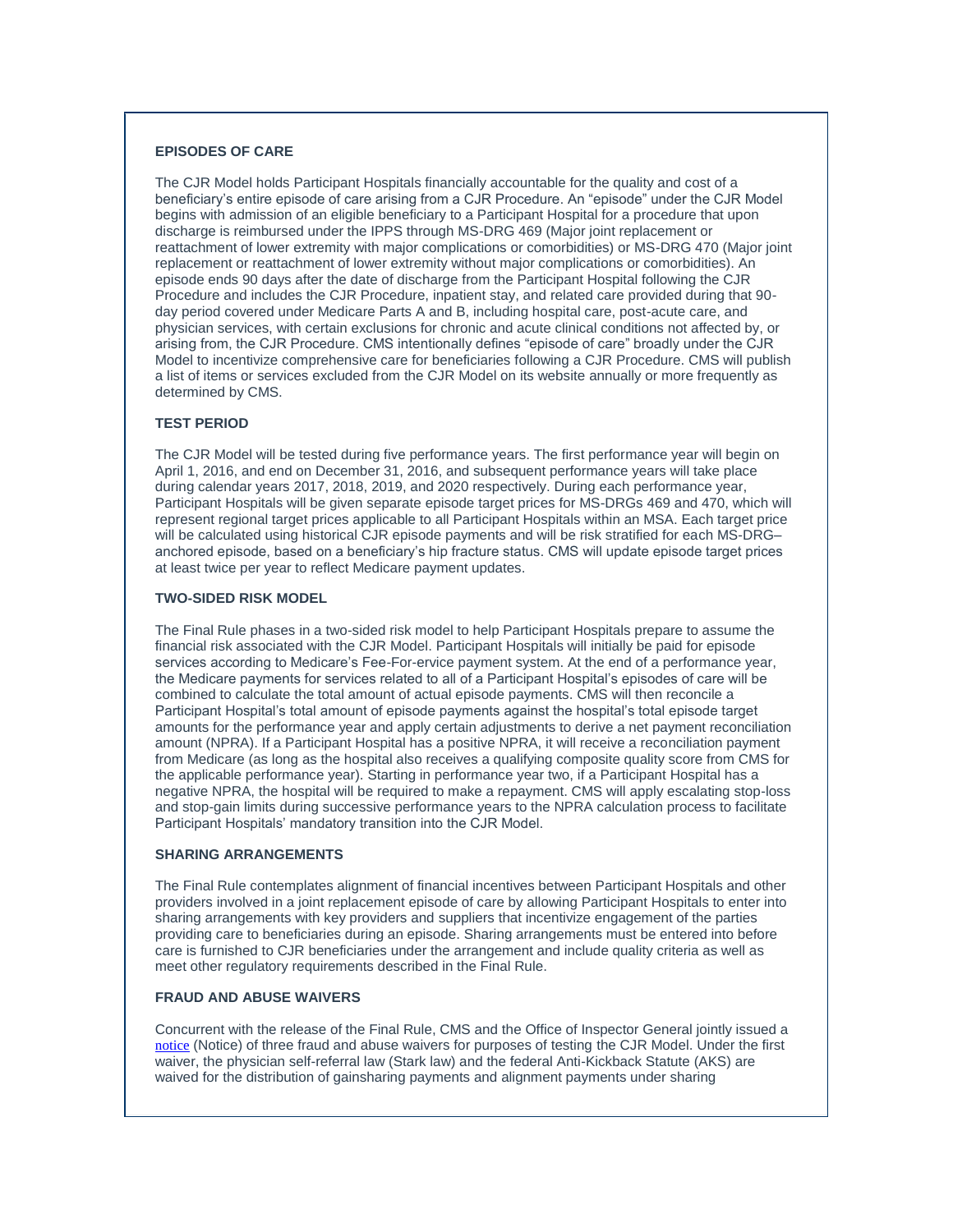#### **EPISODES OF CARE**

The CJR Model holds Participant Hospitals financially accountable for the quality and cost of a beneficiary's entire episode of care arising from a CJR Procedure. An "episode" under the CJR Model begins with admission of an eligible beneficiary to a Participant Hospital for a procedure that upon discharge is reimbursed under the IPPS through MS-DRG 469 (Major joint replacement or reattachment of lower extremity with major complications or comorbidities) or MS-DRG 470 (Major joint replacement or reattachment of lower extremity without major complications or comorbidities). An episode ends 90 days after the date of discharge from the Participant Hospital following the CJR Procedure and includes the CJR Procedure, inpatient stay, and related care provided during that 90 day period covered under Medicare Parts A and B, including hospital care, post-acute care, and physician services, with certain exclusions for chronic and acute clinical conditions not affected by, or arising from, the CJR Procedure. CMS intentionally defines "episode of care" broadly under the CJR Model to incentivize comprehensive care for beneficiaries following a CJR Procedure. CMS will publish a list of items or services excluded from the CJR Model on its website annually or more frequently as determined by CMS.

#### **TEST PERIOD**

The CJR Model will be tested during five performance years. The first performance year will begin on April 1, 2016, and end on December 31, 2016, and subsequent performance years will take place during calendar years 2017, 2018, 2019, and 2020 respectively. During each performance year, Participant Hospitals will be given separate episode target prices for MS-DRGs 469 and 470, which will represent regional target prices applicable to all Participant Hospitals within an MSA. Each target price will be calculated using historical CJR episode payments and will be risk stratified for each MS-DRG– anchored episode, based on a beneficiary's hip fracture status. CMS will update episode target prices at least twice per year to reflect Medicare payment updates.

#### **TWO-SIDED RISK MODEL**

The Final Rule phases in a two-sided risk model to help Participant Hospitals prepare to assume the financial risk associated with the CJR Model. Participant Hospitals will initially be paid for episode services according to Medicare's Fee-For-ervice payment system. At the end of a performance year, the Medicare payments for services related to all of a Participant Hospital's episodes of care will be combined to calculate the total amount of actual episode payments. CMS will then reconcile a Participant Hospital's total amount of episode payments against the hospital's total episode target amounts for the performance year and apply certain adjustments to derive a net payment reconciliation amount (NPRA). If a Participant Hospital has a positive NPRA, it will receive a reconciliation payment from Medicare (as long as the hospital also receives a qualifying composite quality score from CMS for the applicable performance year). Starting in performance year two, if a Participant Hospital has a negative NPRA, the hospital will be required to make a repayment. CMS will apply escalating stop-loss and stop-gain limits during successive performance years to the NPRA calculation process to facilitate Participant Hospitals' mandatory transition into the CJR Model.

#### **SHARING ARRANGEMENTS**

The Final Rule contemplates alignment of financial incentives between Participant Hospitals and other providers involved in a joint replacement episode of care by allowing Participant Hospitals to enter into sharing arrangements with key providers and suppliers that incentivize engagement of the parties providing care to beneficiaries during an episode. Sharing arrangements must be entered into before care is furnished to CJR beneficiaries under the arrangement and include quality criteria as well as meet other regulatory requirements described in the Final Rule.

#### **FRAUD AND ABUSE WAIVERS**

Concurrent with the release of the Final Rule, CMS and the Office of Inspector General jointly issued a [notice](http://t2806904.omkt.co/track.aspx?id=402|2AD478|6F10|54A3|EDF|0|18F4|1|3EFF8A5B&destination=https%3a%2f%2fwww.cms.gov%2fMedicare%2fFraud-and-Abuse%2fPhysicianSelfReferral%2fDownloads%2f2015-CJR-Model-Waivers.pdf&dchk=48EDF122) (Notice) of three fraud and abuse waivers for purposes of testing the CJR Model. Under the first waiver, the physician self-referral law (Stark law) and the federal Anti-Kickback Statute (AKS) are waived for the distribution of gainsharing payments and alignment payments under sharing